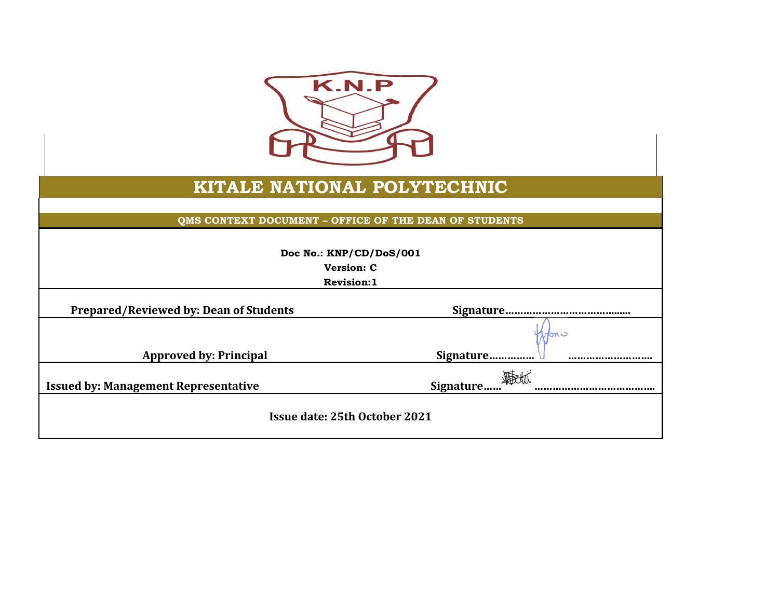

## **KITALE NATIONAL POLYTECHNIC**

**QMS CONTEXT DOCUMENT – OFFICE OF THE DEAN OF STUDENTS**

| Doc No.: KNP/CD/DoS/001                       |                  |
|-----------------------------------------------|------------------|
| <b>Version: C</b>                             |                  |
| <b>Revision:1</b>                             |                  |
| <b>Prepared/Reviewed by: Dean of Students</b> |                  |
|                                               |                  |
| <b>Approved by: Principal</b>                 | Signature        |
| <b>Issued by: Management Representative</b>   | <b>Signature</b> |
| Issue date: 25th October 2021                 |                  |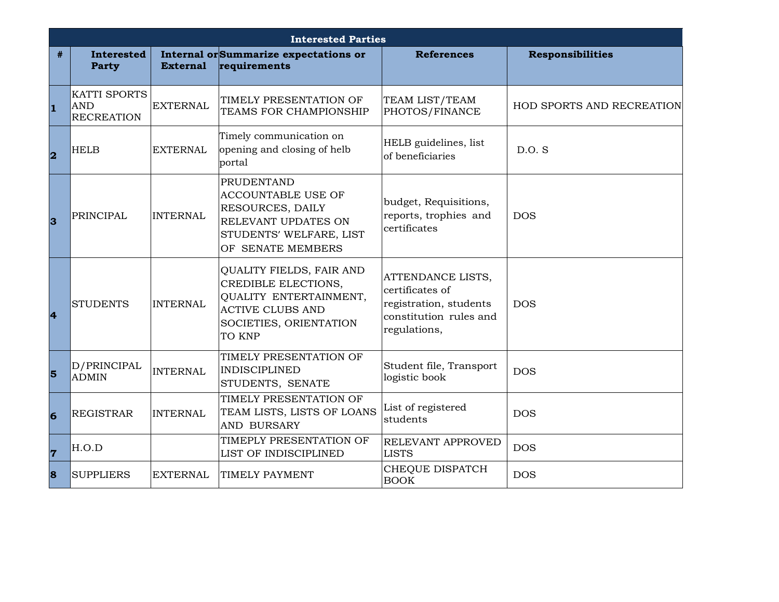|                         | <b>Interested Parties</b>                       |                 |                                                                                                                                                         |                                                                                                          |                           |  |
|-------------------------|-------------------------------------------------|-----------------|---------------------------------------------------------------------------------------------------------------------------------------------------------|----------------------------------------------------------------------------------------------------------|---------------------------|--|
| #                       | <b>Interested</b><br><b>Party</b>               | <b>External</b> | Internal or Summarize expectations or<br>requirements                                                                                                   | <b>References</b>                                                                                        | <b>Responsibilities</b>   |  |
| $\mathbf{1}$            | KATTI SPORTS<br><b>AND</b><br><b>RECREATION</b> | <b>EXTERNAL</b> | TIMELY PRESENTATION OF<br><b>TEAMS FOR CHAMPIONSHIP</b>                                                                                                 | TEAM LIST/TEAM<br>PHOTOS/FINANCE                                                                         | HOD SPORTS AND RECREATION |  |
| $\overline{\mathbf{2}}$ | <b>HELB</b>                                     | <b>EXTERNAL</b> | Timely communication on<br>opening and closing of helb<br>portal                                                                                        | HELB guidelines, list<br>of beneficiaries                                                                | D.O. S                    |  |
| 3                       | <b>PRINCIPAL</b>                                | <b>INTERNAL</b> | <b>PRUDENTAND</b><br><b>ACCOUNTABLE USE OF</b><br><b>RESOURCES, DAILY</b><br><b>RELEVANT UPDATES ON</b><br>STUDENTS' WELFARE, LIST<br>OF SENATE MEMBERS | budget, Requisitions,<br>reports, trophies and<br>certificates                                           | <b>DOS</b>                |  |
| 4                       | <b>STUDENTS</b>                                 | <b>INTERNAL</b> | QUALITY FIELDS, FAIR AND<br>CREDIBLE ELECTIONS,<br><b>QUALITY ENTERTAINMENT,</b><br><b>ACTIVE CLUBS AND</b><br>SOCIETIES, ORIENTATION<br>TO KNP         | ATTENDANCE LISTS,<br>certificates of<br>registration, students<br>constitution rules and<br>regulations, | <b>DOS</b>                |  |
| 5                       | D/PRINCIPAL<br><b>ADMIN</b>                     | <b>INTERNAL</b> | TIMELY PRESENTATION OF<br><b>INDISCIPLINED</b><br>STUDENTS, SENATE                                                                                      | Student file, Transport<br>logistic book                                                                 | <b>DOS</b>                |  |
| 6                       | <b>REGISTRAR</b>                                | <b>INTERNAL</b> | TIMELY PRESENTATION OF<br>TEAM LISTS, LISTS OF LOANS<br><b>AND BURSARY</b>                                                                              | List of registered<br>students                                                                           | <b>DOS</b>                |  |
| $\overline{7}$          | H.O.D                                           |                 | TIMEPLY PRESENTATION OF<br>LIST OF INDISCIPLINED                                                                                                        | RELEVANT APPROVED<br><b>LISTS</b>                                                                        | <b>DOS</b>                |  |
| 8                       | <b>SUPPLIERS</b>                                | <b>EXTERNAL</b> | TIMELY PAYMENT                                                                                                                                          | CHEQUE DISPATCH<br><b>BOOK</b>                                                                           | <b>DOS</b>                |  |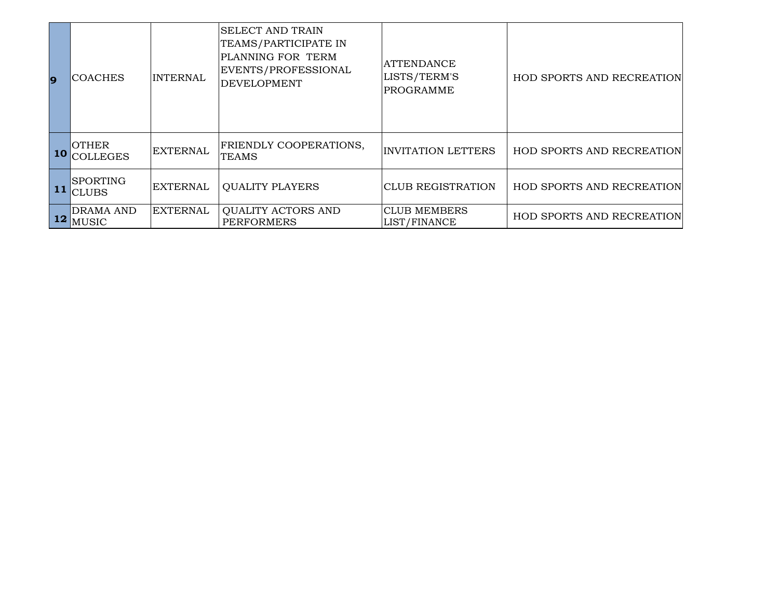| 9         | <b>COACHES</b>                   | <b>INTERNAL</b> | <b>SELECT AND TRAIN</b><br>TEAMS/PARTICIPATE IN<br>PLANNING FOR TERM<br>EVENTS/PROFESSIONAL<br><b>DEVELOPMENT</b> | <b>IATTENDANCE</b><br>LISTS/TERM'S<br>PROGRAMME | HOD SPORTS AND RECREATION        |
|-----------|----------------------------------|-----------------|-------------------------------------------------------------------------------------------------------------------|-------------------------------------------------|----------------------------------|
| <b>10</b> | <b>OTHER</b><br><b>COLLEGES</b>  | <b>EXTERNAL</b> | FRIENDLY COOPERATIONS,<br>TEAMS                                                                                   | IINVITATION LETTERS                             | <b>HOD SPORTS AND RECREATION</b> |
| 11        | <b>SPORTING</b><br>ICLUBS.       | <b>EXTERNAL</b> | <b>OUALITY PLAYERS</b>                                                                                            | <b>CLUB REGISTRATION</b>                        | <b>HOD SPORTS AND RECREATION</b> |
|           | <b>DRAMA AND</b><br><b>MUSIC</b> | <b>EXTERNAL</b> | <b>QUALITY ACTORS AND</b><br><b>PERFORMERS</b>                                                                    | <b>CLUB MEMBERS</b><br>LIST/FINANCE             | HOD SPORTS AND RECREATION        |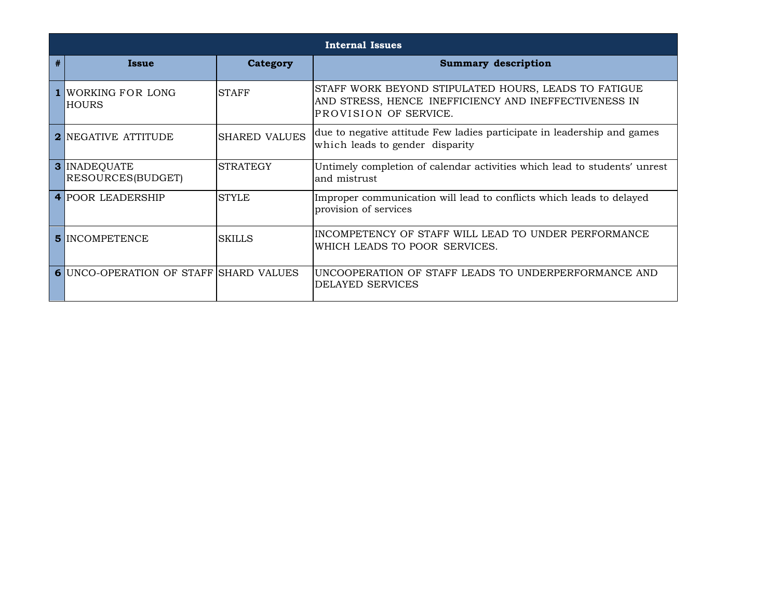|   | <b>Internal Issues</b>                        |                      |                                                                                                                                        |  |  |
|---|-----------------------------------------------|----------------------|----------------------------------------------------------------------------------------------------------------------------------------|--|--|
| # | Issue                                         | Category             | <b>Summary description</b>                                                                                                             |  |  |
|   | <b>1 WORKING FOR LONG</b><br><b>HOURS</b>     | <b>STAFF</b>         | STAFF WORK BEYOND STIPULATED HOURS, LEADS TO FATIGUE<br>AND STRESS, HENCE INEFFICIENCY AND INEFFECTIVENESS IN<br>PROVISION OF SERVICE. |  |  |
|   | <b>2 NEGATIVE ATTITUDE</b>                    | <b>SHARED VALUES</b> | due to negative attitude Few ladies participate in leadership and games<br>which leads to gender disparity                             |  |  |
|   | <b>3 INADEQUATE</b><br>RESOURCES(BUDGET)      | <b>STRATEGY</b>      | Untimely completion of calendar activities which lead to students' unrest<br>and mistrust                                              |  |  |
|   | <b>4 POOR LEADERSHIP</b>                      | <b>STYLE</b>         | Improper communication will lead to conflicts which leads to delayed<br>provision of services                                          |  |  |
|   | <b>5 INCOMPETENCE</b>                         | <b>SKILLS</b>        | INCOMPETENCY OF STAFF WILL LEAD TO UNDER PERFORMANCE<br>WHICH LEADS TO POOR SERVICES.                                                  |  |  |
|   | <b>6 UNCO-OPERATION OF STAFF SHARD VALUES</b> |                      | UNCOOPERATION OF STAFF LEADS TO UNDERPERFORMANCE AND<br>DELAYED SERVICES                                                               |  |  |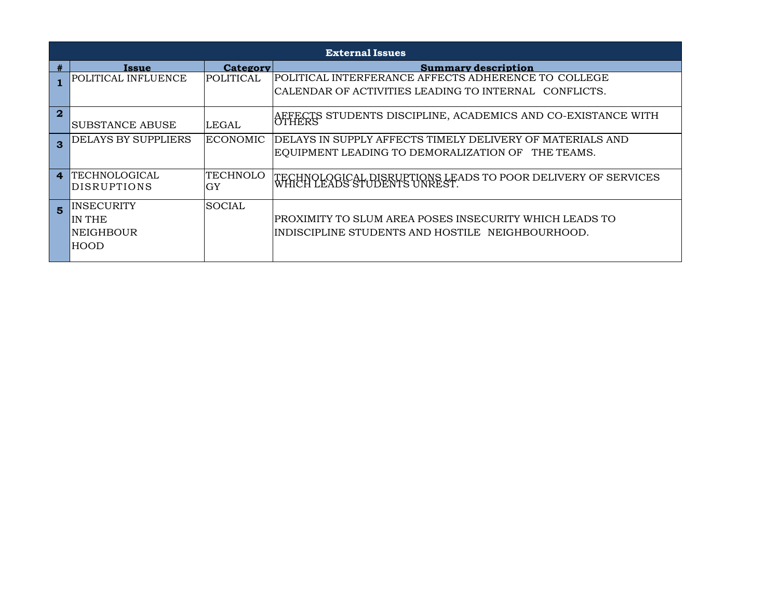|                | <b>External Issues</b> |                  |                                                                                               |  |  |
|----------------|------------------------|------------------|-----------------------------------------------------------------------------------------------|--|--|
| #              | Issue                  | Category         | <b>Summary description</b>                                                                    |  |  |
|                | POLITICAL INFLUENCE    | <b>POLITICAL</b> | POLITICAL INTERFERANCE AFFECTS ADHERENCE TO COLLEGE                                           |  |  |
|                |                        |                  | CALENDAR OF ACTIVITIES LEADING TO INTERNAL CONFLICTS.                                         |  |  |
| $\overline{2}$ |                        |                  | AFFECTS STUDENTS DISCIPLINE, ACADEMICS AND CO-EXISTANCE WITH OTHERS                           |  |  |
|                | SUBSTANCE ABUSE        | LEGAL            |                                                                                               |  |  |
|                | DELAYS BY SUPPLIERS    | ECONOMIC         | DELAYS IN SUPPLY AFFECTS TIMELY DELIVERY OF MATERIALS AND                                     |  |  |
|                |                        |                  | EQUIPMENT LEADING TO DEMORALIZATION OF THE TEAMS.                                             |  |  |
|                |                        |                  |                                                                                               |  |  |
| 4              | TECHNOLOGICAL          | <b>TECHNOLO</b>  | TECHNOLOGICAL DISRUPTIONS LEADS TO POOR DELIVERY OF SERVICES<br> WHICH LEADS STUDENTS UNREST. |  |  |
|                | DISRUPTIONS            | GY               |                                                                                               |  |  |
| 5              | <b>INSECURITY</b>      | <b>SOCIAL</b>    |                                                                                               |  |  |
|                | IN THE                 |                  | PROXIMITY TO SLUM AREA POSES INSECURITY WHICH LEADS TO                                        |  |  |
|                | INEIGHBOUR             |                  | INDISCIPLINE STUDENTS AND HOSTILE NEIGHBOURHOOD.                                              |  |  |
|                | HOOD                   |                  |                                                                                               |  |  |
|                |                        |                  |                                                                                               |  |  |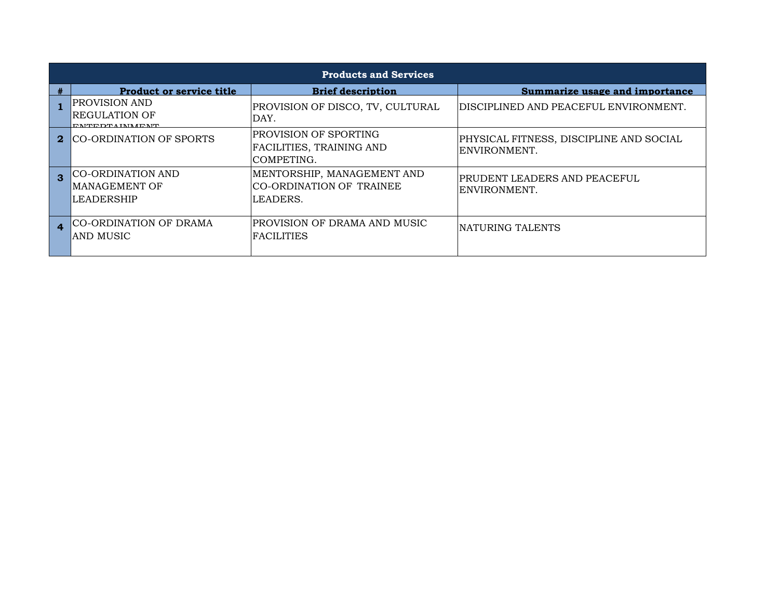|   | <b>Products and Services</b>                                  |                                                                               |                                                         |  |  |
|---|---------------------------------------------------------------|-------------------------------------------------------------------------------|---------------------------------------------------------|--|--|
| # | <b>Product or service title</b>                               | <b>Brief description</b>                                                      | Summarize usage and importance                          |  |  |
|   | PROVISION AND<br>IREGULATION OF<br><b>ENTER OF A IMMARIAT</b> | PROVISION OF DISCO, TV, CULTURAL<br>DAY.                                      | DISCIPLINED AND PEACEFUL ENVIRONMENT.                   |  |  |
| 2 | <b>CO-ORDINATION OF SPORTS</b>                                | <b>PROVISION OF SPORTING</b><br><b>FACILITIES, TRAINING AND</b><br>COMPETING. | PHYSICAL FITNESS, DISCIPLINE AND SOCIAL<br>ENVIRONMENT. |  |  |
| 3 | ICO-ORDINATION AND<br>MANAGEMENT OF<br>LEADERSHIP             | MENTORSHIP, MANAGEMENT AND<br>ICO-ORDINATION OF TRAINEE<br>LEADERS.           | PRUDENT LEADERS AND PEACEFUL<br>ENVIRONMENT.            |  |  |
|   | <b>CO-ORDINATION OF DRAMA</b><br>IAND MUSIC                   | IPROVISION OF DRAMA AND MUSIC<br>IFACILITIES                                  | INATURING TALENTS                                       |  |  |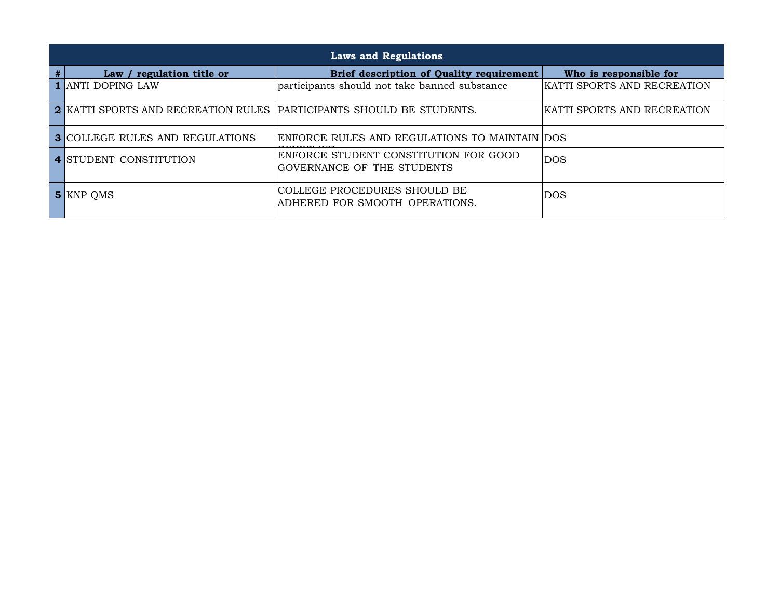|   | <b>Laws and Regulations</b>                                                 |                                                                            |                             |  |  |
|---|-----------------------------------------------------------------------------|----------------------------------------------------------------------------|-----------------------------|--|--|
| # | Law / regulation title or                                                   | <b>Brief description of Quality requirement</b>                            | Who is responsible for      |  |  |
|   | <b>1 ANTI DOPING LAW</b>                                                    | participants should not take banned substance                              | KATTI SPORTS AND RECREATION |  |  |
|   | <b>2 KATTI SPORTS AND RECREATION RULES PARTICIPANTS SHOULD BE STUDENTS.</b> |                                                                            | KATTI SPORTS AND RECREATION |  |  |
|   | <b>3 COLLEGE RULES AND REGULATIONS</b>                                      | ENFORCE RULES AND REGULATIONS TO MAINTAIN DOS                              |                             |  |  |
|   | <b>4 STUDENT CONSTITUTION</b>                                               | ENFORCE STUDENT CONSTITUTION FOR GOOD<br><b>GOVERNANCE OF THE STUDENTS</b> | <b>DOS</b>                  |  |  |
|   | <b>5</b> KNP QMS                                                            | ICOLLEGE PROCEDURES SHOULD BE<br>IADHERED FOR SMOOTH OPERATIONS.           | <b>DOS</b>                  |  |  |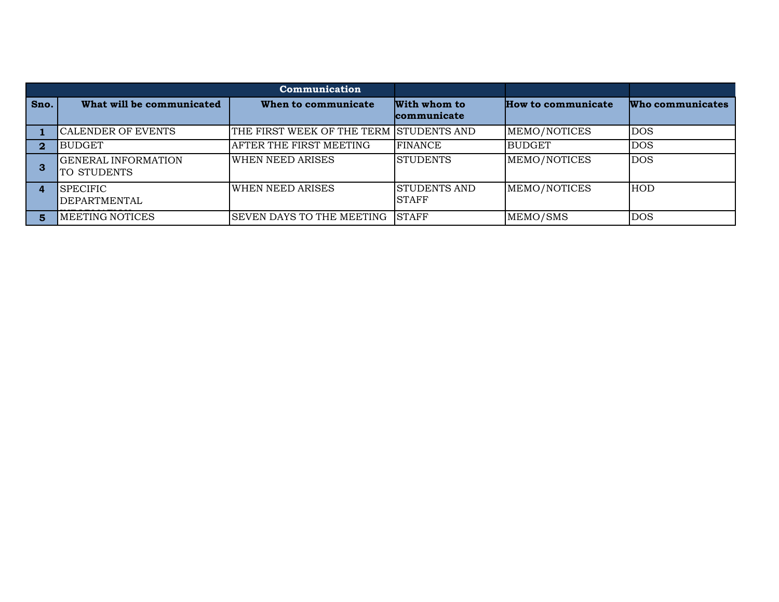|      |                                            | Communication                           |                                     |                           |                  |
|------|--------------------------------------------|-----------------------------------------|-------------------------------------|---------------------------|------------------|
| Sno. | What will be communicated                  | When to communicate                     | With whom to<br>communicate         | <b>How to communicate</b> | Who communicates |
|      | <b>CALENDER OF EVENTS</b>                  | THE FIRST WEEK OF THE TERM STUDENTS AND |                                     | MEMO/NOTICES              | <b>DOS</b>       |
| 2    | <b>BUDGET</b>                              | AFTER THE FIRST MEETING                 | <b>FINANCE</b>                      | <b>BUDGET</b>             | <b>DOS</b>       |
| З    | <b>GENERAL INFORMATION</b><br>ITO STUDENTS | <b>WHEN NEED ARISES</b>                 | <b>STUDENTS</b>                     | MEMO/NOTICES              | <b>DOS</b>       |
|      | <b>SPECIFIC</b><br>DEPARTMENTAL            | <b>WHEN NEED ARISES</b>                 | <b>STUDENTS AND</b><br><b>STAFF</b> | MEMO/NOTICES              | <b>HOD</b>       |
| 5.   | <b>MEETING NOTICES</b>                     | SEVEN DAYS TO THE MEETING               | <b>STAFF</b>                        | MEMO/SMS                  | <b>DOS</b>       |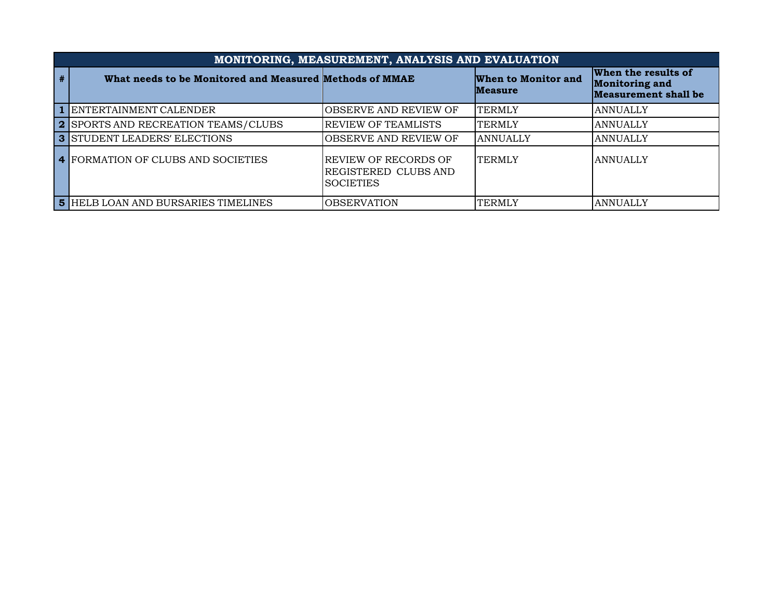| MONITORING, MEASUREMENT, ANALYSIS AND EVALUATION        |                                                                  |                                       |                                                                             |  |
|---------------------------------------------------------|------------------------------------------------------------------|---------------------------------------|-----------------------------------------------------------------------------|--|
| What needs to be Monitored and Measured Methods of MMAE |                                                                  | When to Monitor and<br><b>Measure</b> | When the results of<br><b>Monitoring and</b><br><b>Measurement shall be</b> |  |
| <b>1 ENTERTAINMENT CALENDER</b>                         | OBSERVE AND REVIEW OF                                            | <b>TERMLY</b>                         | <b>ANNUALLY</b>                                                             |  |
| 2 SPORTS AND RECREATION TEAMS/CLUBS                     | <b>REVIEW OF TEAMLISTS</b>                                       | <b>TERMLY</b>                         | <b>ANNUALLY</b>                                                             |  |
| <b>3 STUDENT LEADERS' ELECTIONS</b>                     | OBSERVE AND REVIEW OF                                            | <b>ANNUALLY</b>                       | <b>ANNUALLY</b>                                                             |  |
| 4 FORMATION OF CLUBS AND SOCIETIES                      | REVIEW OF RECORDS OF<br>REGISTERED CLUBS AND<br><b>SOCIETIES</b> | <b>TERMLY</b>                         | <b>ANNUALLY</b>                                                             |  |
| <b>5 HELB LOAN AND BURSARIES TIMELINES</b>              | <b>OBSERVATION</b>                                               | <b>TERMLY</b>                         | <b>ANNUALLY</b>                                                             |  |